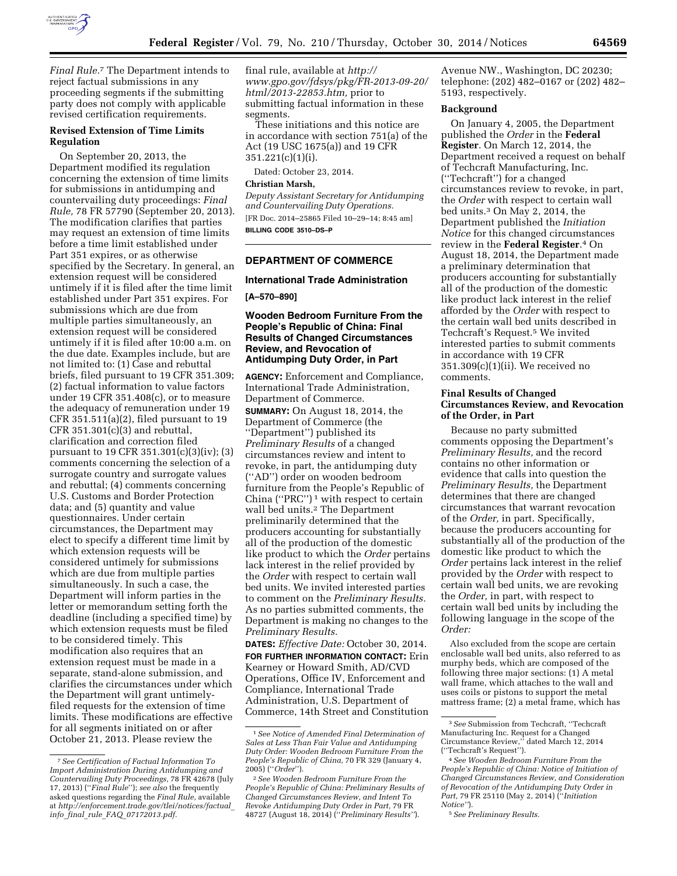

*Final Rule.*7 The Department intends to reject factual submissions in any proceeding segments if the submitting party does not comply with applicable revised certification requirements.

#### **Revised Extension of Time Limits Regulation**

On September 20, 2013, the Department modified its regulation concerning the extension of time limits for submissions in antidumping and countervailing duty proceedings: *Final Rule,* 78 FR 57790 (September 20, 2013). The modification clarifies that parties may request an extension of time limits before a time limit established under Part 351 expires, or as otherwise specified by the Secretary. In general, an extension request will be considered untimely if it is filed after the time limit established under Part 351 expires. For submissions which are due from multiple parties simultaneously, an extension request will be considered untimely if it is filed after 10:00 a.m. on the due date. Examples include, but are not limited to: (1) Case and rebuttal briefs, filed pursuant to 19 CFR 351.309; (2) factual information to value factors under 19 CFR 351.408(c), or to measure the adequacy of remuneration under 19 CFR 351.511(a)(2), filed pursuant to 19 CFR 351.301(c)(3) and rebuttal, clarification and correction filed pursuant to 19 CFR 351.301(c)(3)(iv); (3) comments concerning the selection of a surrogate country and surrogate values and rebuttal; (4) comments concerning U.S. Customs and Border Protection data; and (5) quantity and value questionnaires. Under certain circumstances, the Department may elect to specify a different time limit by which extension requests will be considered untimely for submissions which are due from multiple parties simultaneously. In such a case, the Department will inform parties in the letter or memorandum setting forth the deadline (including a specified time) by which extension requests must be filed to be considered timely. This modification also requires that an extension request must be made in a separate, stand-alone submission, and clarifies the circumstances under which the Department will grant untimelyfiled requests for the extension of time limits. These modifications are effective for all segments initiated on or after October 21, 2013. Please review the

final rule, available at *[http://](http://www.gpo.gov/fdsys/pkg/FR-2013-09-20/html/2013-22853.htm) [www.gpo.gov/fdsys/pkg/FR-2013-09-20/](http://www.gpo.gov/fdsys/pkg/FR-2013-09-20/html/2013-22853.htm) [html/2013-22853.htm,](http://www.gpo.gov/fdsys/pkg/FR-2013-09-20/html/2013-22853.htm)* prior to submitting factual information in these segments.

These initiations and this notice are in accordance with section 751(a) of the Act (19 USC 1675(a)) and 19 CFR 351.221(c)(1)(i).

Dated: October 23, 2014.

## **Christian Marsh,**

*Deputy Assistant Secretary for Antidumping and Countervailing Duty Operations.*  [FR Doc. 2014–25865 Filed 10–29–14; 8:45 am] **BILLING CODE 3510–DS–P** 

# **DEPARTMENT OF COMMERCE**

## **International Trade Administration**

**[A–570–890]** 

## **Wooden Bedroom Furniture From the People's Republic of China: Final Results of Changed Circumstances Review, and Revocation of Antidumping Duty Order, in Part**

**AGENCY:** Enforcement and Compliance, International Trade Administration, Department of Commerce.

**SUMMARY:** On August 18, 2014, the Department of Commerce (the ''Department'') published its *Preliminary Results* of a changed circumstances review and intent to revoke, in part, the antidumping duty (''AD'') order on wooden bedroom furniture from the People's Republic of China ("PRC")<sup>1</sup> with respect to certain wall bed units.<sup>2</sup> The Department preliminarily determined that the producers accounting for substantially all of the production of the domestic like product to which the *Order* pertains lack interest in the relief provided by the *Order* with respect to certain wall bed units. We invited interested parties to comment on the *Preliminary Results.*  As no parties submitted comments, the Department is making no changes to the *Preliminary Results.* 

**DATES:** *Effective Date:* October 30, 2014. **FOR FURTHER INFORMATION CONTACT:** Erin Kearney or Howard Smith, AD/CVD Operations, Office IV, Enforcement and Compliance, International Trade Administration, U.S. Department of Commerce, 14th Street and Constitution

Avenue NW., Washington, DC 20230; telephone: (202) 482–0167 or (202) 482– 5193, respectively.

#### **Background**

On January 4, 2005, the Department published the *Order* in the **Federal Register**. On March 12, 2014, the Department received a request on behalf of Techcraft Manufacturing, Inc. (''Techcraft'') for a changed circumstances review to revoke, in part, the *Order* with respect to certain wall bed units.3 On May 2, 2014, the Department published the *Initiation Notice* for this changed circumstances review in the **Federal Register**.4 On August 18, 2014, the Department made a preliminary determination that producers accounting for substantially all of the production of the domestic like product lack interest in the relief afforded by the *Order* with respect to the certain wall bed units described in Techcraft's Request.5 We invited interested parties to submit comments in accordance with 19 CFR 351.309(c)(1)(ii). We received no comments.

#### **Final Results of Changed Circumstances Review, and Revocation of the Order, in Part**

Because no party submitted comments opposing the Department's *Preliminary Results,* and the record contains no other information or evidence that calls into question the *Preliminary Results,* the Department determines that there are changed circumstances that warrant revocation of the *Order,* in part. Specifically, because the producers accounting for substantially all of the production of the domestic like product to which the *Order* pertains lack interest in the relief provided by the *Order* with respect to certain wall bed units, we are revoking the *Order,* in part, with respect to certain wall bed units by including the following language in the scope of the *Order:* 

Also excluded from the scope are certain enclosable wall bed units, also referred to as murphy beds, which are composed of the following three major sections: (1) A metal wall frame, which attaches to the wall and uses coils or pistons to support the metal mattress frame; (2) a metal frame, which has

<sup>7</sup>*See Certification of Factual Information To Import Administration During Antidumping and Countervailing Duty Proceedings,* 78 FR 42678 (July 17, 2013) (''*Final Rule*''); *see also* the frequently asked questions regarding the *Final Rule,* available at *[http://enforcement.trade.gov/tlei/notices/factual](http://enforcement.trade.gov/tlei/notices/factual_info_final_rule_FAQ_07172013.pdf)*\_ *info*\_*final*\_*rule*\_*FAQ*\_*[07172013.pdf.](http://enforcement.trade.gov/tlei/notices/factual_info_final_rule_FAQ_07172013.pdf)* 

<sup>1</sup>*See Notice of Amended Final Determination of Sales at Less Than Fair Value and Antidumping Duty Order: Wooden Bedroom Furniture From the People's Republic of China,* 70 FR 329 (January 4, 2005) (''*Order*'').

<sup>2</sup>*See Wooden Bedroom Furniture From the People's Republic of China: Preliminary Results of Changed Circumstances Review, and Intent To Revoke Antidumping Duty Order in Part,* 79 FR 48727 (August 18, 2014) (''*Preliminary Results''*).

<sup>3</sup>*See* Submission from Techcraft, ''Techcraft Manufacturing Inc. Request for a Changed Circumstance Review,'' dated March 12, 2014 (''Techcraft's Request'').

<sup>4</sup>*See Wooden Bedroom Furniture From the People's Republic of China: Notice of Initiation of Changed Circumstances Review, and Consideration of Revocation of the Antidumping Duty Order in Part,* 79 FR 25110 (May 2, 2014) (''*Initiation Notice''*).

<sup>5</sup>*See Preliminary Results.*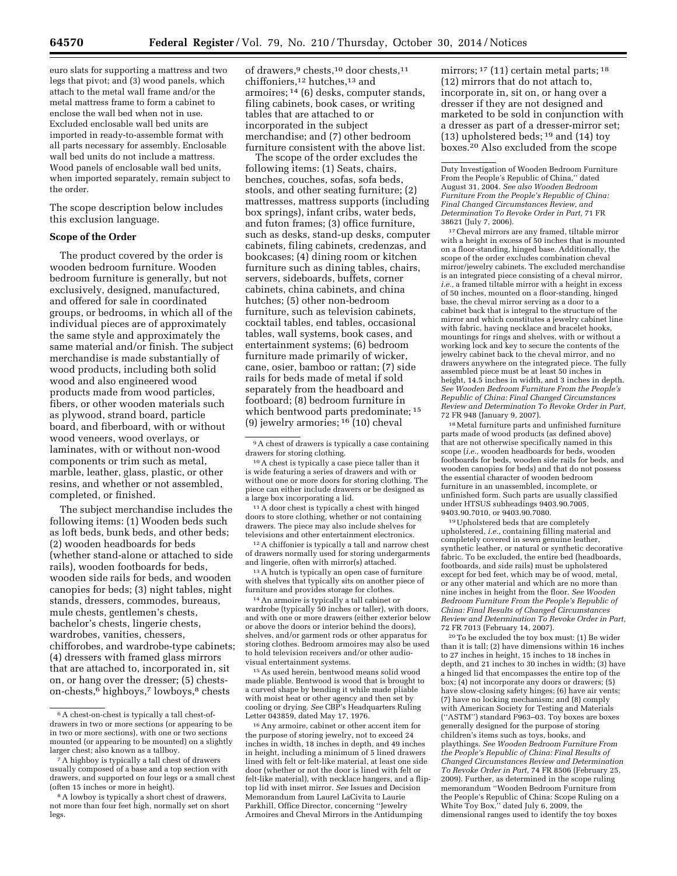euro slats for supporting a mattress and two legs that pivot; and (3) wood panels, which attach to the metal wall frame and/or the metal mattress frame to form a cabinet to enclose the wall bed when not in use. Excluded enclosable wall bed units are imported in ready-to-assemble format with all parts necessary for assembly. Enclosable wall bed units do not include a mattress. Wood panels of enclosable wall bed units, when imported separately, remain subject to the order.

The scope description below includes this exclusion language.

# **Scope of the Order**

The product covered by the order is wooden bedroom furniture. Wooden bedroom furniture is generally, but not exclusively, designed, manufactured, and offered for sale in coordinated groups, or bedrooms, in which all of the individual pieces are of approximately the same style and approximately the same material and/or finish. The subject merchandise is made substantially of wood products, including both solid wood and also engineered wood products made from wood particles, fibers, or other wooden materials such as plywood, strand board, particle board, and fiberboard, with or without wood veneers, wood overlays, or laminates, with or without non-wood components or trim such as metal, marble, leather, glass, plastic, or other resins, and whether or not assembled, completed, or finished.

The subject merchandise includes the following items: (1) Wooden beds such as loft beds, bunk beds, and other beds; (2) wooden headboards for beds (whether stand-alone or attached to side rails), wooden footboards for beds, wooden side rails for beds, and wooden canopies for beds; (3) night tables, night stands, dressers, commodes, bureaus, mule chests, gentlemen's chests, bachelor's chests, lingerie chests, wardrobes, vanities, chessers, chifforobes, and wardrobe-type cabinets; (4) dressers with framed glass mirrors that are attached to, incorporated in, sit on, or hang over the dresser; (5) chestson-chests,<sup>6</sup> highboys,<sup>7</sup> lowboys,<sup>8</sup> chests

of drawers,9 chests,10 door chests,11 chiffoniers,12 hutches,13 and armoires; 14 (6) desks, computer stands, filing cabinets, book cases, or writing tables that are attached to or incorporated in the subject merchandise; and (7) other bedroom furniture consistent with the above list.

The scope of the order excludes the following items: (1) Seats, chairs, benches, couches, sofas, sofa beds, stools, and other seating furniture; (2) mattresses, mattress supports (including box springs), infant cribs, water beds, and futon frames; (3) office furniture, such as desks, stand-up desks, computer cabinets, filing cabinets, credenzas, and bookcases; (4) dining room or kitchen furniture such as dining tables, chairs, servers, sideboards, buffets, corner cabinets, china cabinets, and china hutches; (5) other non-bedroom furniture, such as television cabinets, cocktail tables, end tables, occasional tables, wall systems, book cases, and entertainment systems; (6) bedroom furniture made primarily of wicker, cane, osier, bamboo or rattan; (7) side rails for beds made of metal if sold separately from the headboard and footboard; (8) bedroom furniture in which bentwood parts predominate; 15 (9) jewelry armories;  $^{16}$  (10) cheval

9A chest of drawers is typically a case containing drawers for storing clothing.

10A chest is typically a case piece taller than it is wide featuring a series of drawers and with or without one or more doors for storing clothing. The piece can either include drawers or be designed as a large box incorporating a lid.

11A door chest is typically a chest with hinged doors to store clothing, whether or not containing drawers. The piece may also include shelves for televisions and other entertainment electronics.

12A chiffonier is typically a tall and narrow chest of drawers normally used for storing undergarments and lingerie, often with mirror(s) attached.

13A hutch is typically an open case of furniture with shelves that typically sits on another piece of furniture and provides storage for clothes.

14An armoire is typically a tall cabinet or wardrobe (typically 50 inches or taller), with doors, and with one or more drawers (either exterior below or above the doors or interior behind the doors), shelves, and/or garment rods or other apparatus for storing clothes. Bedroom armoires may also be used to hold television receivers and/or other audiovisual entertainment systems.

15As used herein, bentwood means solid wood made pliable. Bentwood is wood that is brought to a curved shape by bending it while made pliable with moist heat or other agency and then set by cooling or drying. *See* CBP's Headquarters Ruling Letter 043859, dated May 17, 1976.

16Any armoire, cabinet or other accent item for the purpose of storing jewelry, not to exceed 24 inches in width, 18 inches in depth, and 49 inches in height, including a minimum of 5 lined drawers lined with felt or felt-like material, at least one side door (whether or not the door is lined with felt or felt-like material), with necklace hangers, and a fliptop lid with inset mirror. *See* Issues and Decision Memorandum from Laurel LaCivita to Laurie Parkhill, Office Director, concerning ''Jewelry Armoires and Cheval Mirrors in the Antidumping

mirrors; <sup>17</sup> (11) certain metal parts; <sup>18</sup> (12) mirrors that do not attach to, incorporate in, sit on, or hang over a dresser if they are not designed and marketed to be sold in conjunction with a dresser as part of a dresser-mirror set; (13) upholstered beds; 19 and (14) toy boxes.20 Also excluded from the scope

Duty Investigation of Wooden Bedroom Furniture From the People's Republic of China,'' dated August 31, 2004. *See also Wooden Bedroom Furniture From the People's Republic of China: Final Changed Circumstances Review, and Determination To Revoke Order in Part,* 71 FR 38621 (July 7, 2006).

17Cheval mirrors are any framed, tiltable mirror with a height in excess of 50 inches that is mounted on a floor-standing, hinged base. Additionally, the scope of the order excludes combination cheval mirror/jewelry cabinets. The excluded merchandise is an integrated piece consisting of a cheval mirror, *i.e., a framed tiltable mirror with a height in excess* of 50 inches, mounted on a floor-standing, hinged base, the cheval mirror serving as a door to a cabinet back that is integral to the structure of the mirror and which constitutes a jewelry cabinet line with fabric, having necklace and bracelet hooks, mountings for rings and shelves, with or without a working lock and key to secure the contents of the jewelry cabinet back to the cheval mirror, and no drawers anywhere on the integrated piece. The fully assembled piece must be at least 50 inches in height, 14.5 inches in width, and 3 inches in depth. *See Wooden Bedroom Furniture From the People's Republic of China: Final Changed Circumstances Review and Determination To Revoke Order in Part,*  72 FR 948 (January 9, 2007).

18Metal furniture parts and unfinished furniture parts made of wood products (as defined above) that are not otherwise specifically named in this scope (*i.e.,* wooden headboards for beds, wooden footboards for beds, wooden side rails for beds, and wooden canopies for beds) and that do not possess the essential character of wooden bedroom furniture in an unassembled, incomplete, or unfinished form. Such parts are usually classified under HTSUS subheadings 9403.90.7005, 9403.90.7010, or 9403.90.7080.

19Upholstered beds that are completely upholstered, *i.e.,* containing filling material and completely covered in sewn genuine leather, synthetic leather, or natural or synthetic decorative fabric. To be excluded, the entire bed (headboards, footboards, and side rails) must be upholstered except for bed feet, which may be of wood, metal, or any other material and which are no more than nine inches in height from the floor. *See Wooden Bedroom Furniture From the People's Republic of China: Final Results of Changed Circumstances Review and Determination To Revoke Order in Part,*  72 FR 7013 (February 14, 2007).

20To be excluded the toy box must: (1) Be wider than it is tall; (2) have dimensions within 16 inches to 27 inches in height, 15 inches to 18 inches in depth, and 21 inches to 30 inches in width; (3) have a hinged lid that encompasses the entire top of the box; (4) not incorporate any doors or drawers; (5) have slow-closing safety hinges; (6) have air vents; (7) have no locking mechanism; and (8) comply with American Society for Testing and Materials (''ASTM'') standard F963–03. Toy boxes are boxes generally designed for the purpose of storing children's items such as toys, books, and playthings. *See Wooden Bedroom Furniture From the People's Republic of China: Final Results of Changed Circumstances Review and Determination To Revoke Order in Part,* 74 FR 8506 (February 25, 2009). Further, as determined in the scope ruling memorandum ''Wooden Bedroom Furniture from the People's Republic of China: Scope Ruling on a White Toy Box,'' dated July 6, 2009, the dimensional ranges used to identify the toy boxes

<sup>6</sup>A chest-on-chest is typically a tall chest-ofdrawers in two or more sections (or appearing to be in two or more sections), with one or two sections mounted (or appearing to be mounted) on a slightly larger chest; also known as a tallboy.

<sup>7</sup>A highboy is typically a tall chest of drawers usually composed of a base and a top section with drawers, and supported on four legs or a small chest (often 15 inches or more in height).

<sup>8</sup>A lowboy is typically a short chest of drawers, not more than four feet high, normally set on short legs.